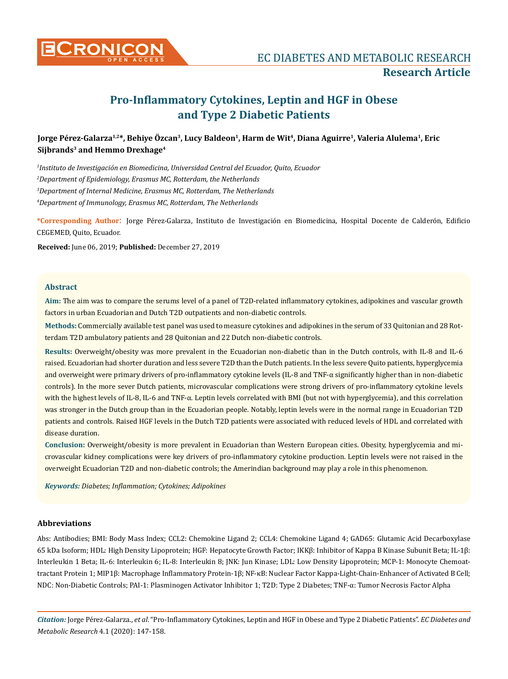

# **Pro-Inflammatory Cytokines, Leptin and HGF in Obese and Type 2 Diabetic Patients**

## **Jorge Pérez-Galarza1,2\*, Behiye Özcan<sup>3</sup>, Lucy Baldeon<sup>1</sup>, Harm de Wit<sup>4</sup>, Diana Aguirre<sup>1</sup>, Valeria Alulema<sup>1</sup>, Eric Sijbrands<sup>3</sup> and Hemmo Drexhage<sup>4</sup>**

 *Instituto de Investigación en Biomedicina, Universidad Central del Ecuador, Quito, Ecuador Department of Epidemiology, Erasmus MC, Rotterdam, the Netherlands Department of Internal Medicine, Erasmus MC, Rotterdam, The Netherlands Department of Immunology, Erasmus MC, Rotterdam, The Netherlands*

**\*Corresponding Author**: Jorge Pérez-Galarza, Instituto de Investigación en Biomedicina, Hospital Docente de Calderón, Edificio CEGEMED, Quito, Ecuador.

**Received:** June 06, 2019; **Published:** December 27, 2019

## **Abstract**

**Aim:** The aim was to compare the serums level of a panel of T2D-related inflammatory cytokines, adipokines and vascular growth factors in urban Ecuadorian and Dutch T2D outpatients and non-diabetic controls.

**Methods:** Commercially available test panel was used to measure cytokines and adipokines in the serum of 33 Quitonian and 28 Rotterdam T2D ambulatory patients and 28 Quitonian and 22 Dutch non-diabetic controls.

**Results:** Overweight/obesity was more prevalent in the Ecuadorian non-diabetic than in the Dutch controls, with IL-8 and IL-6 raised. Ecuadorian had shorter duration and less severe T2D than the Dutch patients. In the less severe Quito patients, hyperglycemia and overweight were primary drivers of pro-inflammatory cytokine levels (IL-8 and TNF-α significantly higher than in non-diabetic controls). In the more sever Dutch patients, microvascular complications were strong drivers of pro-inflammatory cytokine levels with the highest levels of IL-8, IL-6 and TNF-α. Leptin levels correlated with BMI (but not with hyperglycemia), and this correlation was stronger in the Dutch group than in the Ecuadorian people. Notably, leptin levels were in the normal range in Ecuadorian T2D patients and controls. Raised HGF levels in the Dutch T2D patients were associated with reduced levels of HDL and correlated with disease duration.

**Conclusion:** Overweight/obesity is more prevalent in Ecuadorian than Western European cities. Obesity, hyperglycemia and microvascular kidney complications were key drivers of pro-inflammatory cytokine production. Leptin levels were not raised in the overweight Ecuadorian T2D and non-diabetic controls; the Amerindian background may play a role in this phenomenon.

*Keywords: Diabetes; Inflammation; Cytokines; Adipokines*

## **Abbreviations**

Abs: Antibodies; BMI: Body Mass Index; CCL2: Chemokine Ligand 2; CCL4: Chemokine Ligand 4; GAD65: Glutamic Acid Decarboxylase 65 kDa Isoform; HDL: High Density Lipoprotein; HGF: Hepatocyte Growth Factor; IKKβ: Inhibitor of Kappa B Kinase Subunit Beta; IL-1β: Interleukin 1 Beta; IL-6: Interleukin 6; IL-8: Interleukin 8; JNK: Jun Kinase; LDL: Low Density Lipoprotein; MCP-1: Monocyte Chemoattractant Protein 1; MIP1β: Macrophage Inflammatory Protein-1β; NF-κB: Nuclear Factor Kappa-Light-Chain-Enhancer of Activated B Cell; NDC: Non-Diabetic Controls; PAI-1: Plasminogen Activator Inhibitor 1; T2D: Type 2 Diabetes; TNF-α: Tumor Necrosis Factor Alpha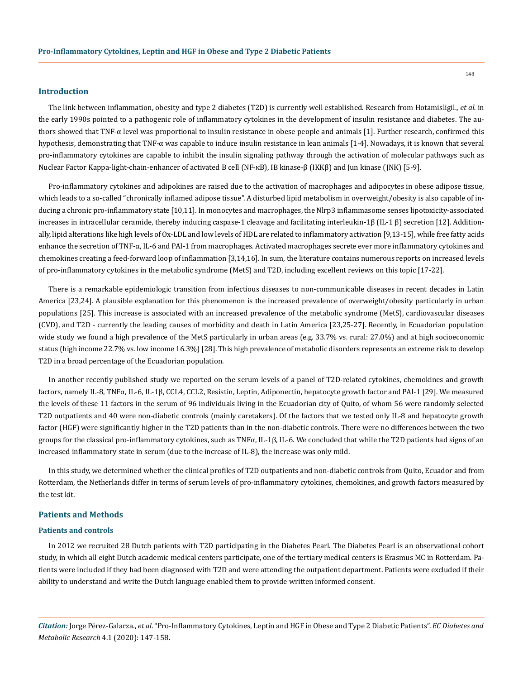## **Introduction**

The link between inflammation, obesity and type 2 diabetes (T2D) is currently well established. Research from Hotamisligil., *et al.* in the early 1990s pointed to a pathogenic role of inflammatory cytokines in the development of insulin resistance and diabetes. The authors showed that TNF-α level was proportional to insulin resistance in obese people and animals [1]. Further research, confirmed this hypothesis, demonstrating that TNF-α was capable to induce insulin resistance in lean animals [1-4]. Nowadays, it is known that several pro-inflammatory cytokines are capable to inhibit the insulin signaling pathway through the activation of molecular pathways such as Nuclear Factor Kappa-light-chain-enhancer of activated B cell (NF-κB), IB kinase-β (IKKβ) and Jun kinase (JNK) [5-9].

Pro-inflammatory cytokines and adipokines are raised due to the activation of macrophages and adipocytes in obese adipose tissue, which leads to a so-called "chronically inflamed adipose tissue". A disturbed lipid metabolism in overweight/obesity is also capable of inducing a chronic pro-inflammatory state [10,11]. In monocytes and macrophages, the Nlrp3 inflammasome senses lipotoxicity-associated increases in intracellular ceramide, thereby inducing caspase-1 cleavage and facilitating interleukin-1β (IL-1 β) secretion [12]. Additionally, lipid alterations like high levels of Ox-LDL and low levels of HDL are related to inflammatory activation [9,13-15], while free fatty acids enhance the secretion of TNF-α, IL-6 and PAI-1 from macrophages. Activated macrophages secrete ever more inflammatory cytokines and chemokines creating a feed-forward loop of inflammation [3,14,16]. In sum, the literature contains numerous reports on increased levels of pro-inflammatory cytokines in the metabolic syndrome (MetS) and T2D, including excellent reviews on this topic [17-22].

There is a remarkable epidemiologic transition from infectious diseases to non-communicable diseases in recent decades in Latin America [23,24]. A plausible explanation for this phenomenon is the increased prevalence of overweight/obesity particularly in urban populations [25]. This increase is associated with an increased prevalence of the metabolic syndrome (MetS), cardiovascular diseases (CVD), and T2D - currently the leading causes of morbidity and death in Latin America [23,25-27]. Recently, in Ecuadorian population wide study we found a high prevalence of the MetS particularly in urban areas (e.g. 33.7% vs. rural: 27.0%) and at high socioeconomic status (high income 22.7% vs. low income 16.3%) [28]. This high prevalence of metabolic disorders represents an extreme risk to develop T2D in a broad percentage of the Ecuadorian population.

In another recently published study we reported on the serum levels of a panel of T2D-related cytokines, chemokines and growth factors, namely IL-8, TNFα, IL-6, IL-1β, CCL4, CCL2, Resistin, Leptin, Adiponectin, hepatocyte growth factor and PAI-1 [29]. We measured the levels of these 11 factors in the serum of 96 individuals living in the Ecuadorian city of Quito, of whom 56 were randomly selected T2D outpatients and 40 were non-diabetic controls (mainly caretakers). Of the factors that we tested only IL-8 and hepatocyte growth factor (HGF) were significantly higher in the T2D patients than in the non-diabetic controls. There were no differences between the two groups for the classical pro-inflammatory cytokines, such as TNFα, IL-1β, IL-6. We concluded that while the T2D patients had signs of an increased inflammatory state in serum (due to the increase of IL-8), the increase was only mild.

In this study, we determined whether the clinical profiles of T2D outpatients and non-diabetic controls from Quito, Ecuador and from Rotterdam, the Netherlands differ in terms of serum levels of pro-inflammatory cytokines, chemokines, and growth factors measured by the test kit.

#### **Patients and Methods**

#### **Patients and controls**

In 2012 we recruited 28 Dutch patients with T2D participating in the Diabetes Pearl. The Diabetes Pearl is an observational cohort study, in which all eight Dutch academic medical centers participate, one of the tertiary medical centers is Erasmus MC in Rotterdam. Patients were included if they had been diagnosed with T2D and were attending the outpatient department. Patients were excluded if their ability to understand and write the Dutch language enabled them to provide written informed consent.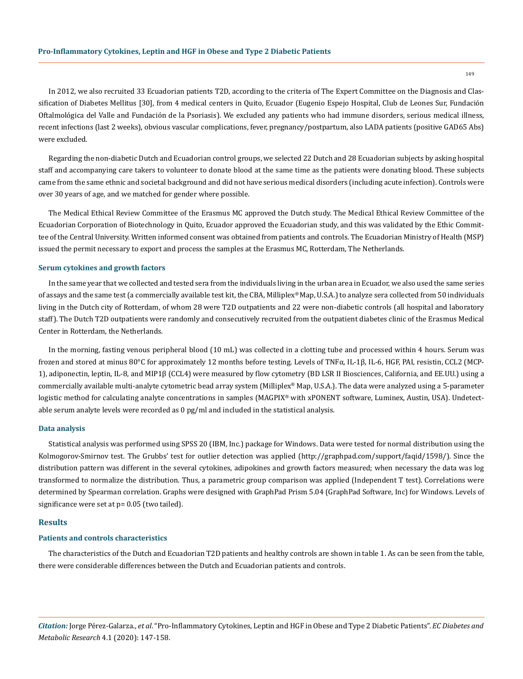In 2012, we also recruited 33 Ecuadorian patients T2D, according to the criteria of The Expert Committee on the Diagnosis and Classification of Diabetes Mellitus [30], from 4 medical centers in Quito, Ecuador (Eugenio Espejo Hospital, Club de Leones Sur, Fundación Oftalmológica del Valle and Fundación de la Psoriasis). We excluded any patients who had immune disorders, serious medical illness, recent infections (last 2 weeks), obvious vascular complications, fever, pregnancy/postpartum, also LADA patients (positive GAD65 Abs) were excluded.

Regarding the non-diabetic Dutch and Ecuadorian control groups, we selected 22 Dutch and 28 Ecuadorian subjects by asking hospital staff and accompanying care takers to volunteer to donate blood at the same time as the patients were donating blood. These subjects came from the same ethnic and societal background and did not have serious medical disorders (including acute infection). Controls were over 30 years of age, and we matched for gender where possible.

The Medical Ethical Review Committee of the Erasmus MC approved the Dutch study. The Medical Ethical Review Committee of the Ecuadorian Corporation of Biotechnology in Quito, Ecuador approved the Ecuadorian study, and this was validated by the Ethic Committee of the Central University. Written informed consent was obtained from patients and controls. The Ecuadorian Ministry of Health (MSP) issued the permit necessary to export and process the samples at the Erasmus MC, Rotterdam, The Netherlands.

#### **Serum cytokines and growth factors**

In the same year that we collected and tested sera from the individuals living in the urban area in Ecuador, we also used the same series of assays and the same test (a commercially available test kit, the CBA, Milliplex® Map, U.S.A.) to analyze sera collected from 50 individuals living in the Dutch city of Rotterdam, of whom 28 were T2D outpatients and 22 were non-diabetic controls (all hospital and laboratory staff). The Dutch T2D outpatients were randomly and consecutively recruited from the outpatient diabetes clinic of the Erasmus Medical Center in Rotterdam, the Netherlands.

In the morning, fasting venous peripheral blood (10 mL) was collected in a clotting tube and processed within 4 hours. Serum was frozen and stored at minus 80°C for approximately 12 months before testing. Levels of TNFα, IL-1β, IL-6, HGF, PAI, resistin, CCL2 (MCP-1), adiponectin, leptin, IL-8, and MIP1β (CCL4) were measured by flow cytometry (BD LSR II Biosciences, California, and EE.UU.) using a commercially available multi-analyte cytometric bead array system (Milliplex® Map, U.S.A.). The data were analyzed using a 5-parameter logistic method for calculating analyte concentrations in samples (MAGPIX® with xPONENT software, Luminex, Austin, USA). Undetectable serum analyte levels were recorded as 0 pg/ml and included in the statistical analysis.

#### **Data analysis**

Statistical analysis was performed using SPSS 20 (IBM, Inc.) package for Windows. Data were tested for normal distribution using the Kolmogorov-Smirnov test. The Grubbs' test for outlier detection was applied (http://graphpad.com/support/faqid/1598/). Since the distribution pattern was different in the several cytokines, adipokines and growth factors measured; when necessary the data was log transformed to normalize the distribution. Thus, a parametric group comparison was applied (Independent T test). Correlations were determined by Spearman correlation. Graphs were designed with GraphPad Prism 5.04 (GraphPad Software, Inc) for Windows. Levels of significance were set at p= 0.05 (two tailed).

#### **Results**

#### **Patients and controls characteristics**

The characteristics of the Dutch and Ecuadorian T2D patients and healthy controls are shown in table 1. As can be seen from the table, there were considerable differences between the Dutch and Ecuadorian patients and controls.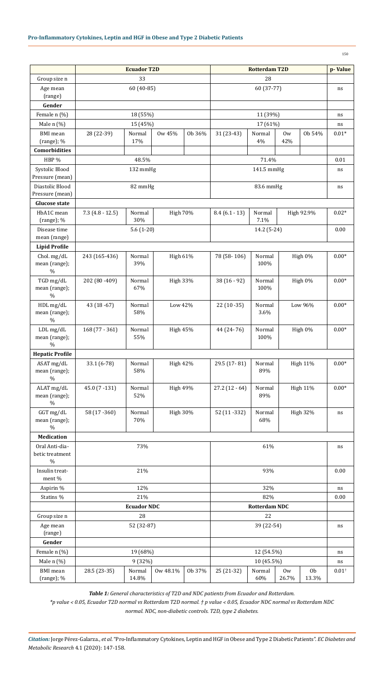|                                           |                 | <b>Ecuador T2D</b> |                  |        | <b>Rotterdam T2D</b> | p-Value         |             |                         |                  |  |  |  |
|-------------------------------------------|-----------------|--------------------|------------------|--------|----------------------|-----------------|-------------|-------------------------|------------------|--|--|--|
| Group size n                              |                 | 33                 |                  |        |                      |                 |             |                         |                  |  |  |  |
| Age mean<br>(range)                       |                 | 60 (40-85)         |                  |        |                      | ns              |             |                         |                  |  |  |  |
| Gender                                    |                 |                    |                  |        |                      |                 |             |                         |                  |  |  |  |
| Female n (%)                              |                 | 18 (55%)           |                  |        |                      | ns              |             |                         |                  |  |  |  |
| Male n (%)                                |                 | 15 (45%)           |                  |        |                      | ns              |             |                         |                  |  |  |  |
| <b>BMI</b> mean<br>(range); %             | 28 (22-39)      | Normal<br>17%      | 0w 45%<br>Ob 36% |        | 31 (23-43)           | Normal<br>$4\%$ | 0w<br>42%   | Ob 54%                  |                  |  |  |  |
| <b>Comorbidities</b>                      |                 |                    |                  |        |                      |                 |             |                         |                  |  |  |  |
| HBP %                                     |                 | 48.5%              |                  |        |                      | 0.01            |             |                         |                  |  |  |  |
| Systolic Blood<br>Pressure (mean)         |                 | 132 mmHg           |                  |        |                      | ns              |             |                         |                  |  |  |  |
| Diastolic Blood<br>Pressure (mean)        |                 | 82 mmHg            |                  |        |                      | 83.6 mmHg       |             |                         | ns               |  |  |  |
| <b>Glucose state</b>                      |                 |                    |                  |        |                      |                 |             |                         |                  |  |  |  |
| HbA1C mean<br>$(range); \%$               | $7.3(4.8-12.5)$ | Normal<br>30%      | <b>High 70%</b>  |        | $8.4(6.1-13)$        | Normal<br>7.1%  | High 92.9%  | $0.02*$                 |                  |  |  |  |
| Disease time                              |                 | $5.6(1-20)$        |                  |        |                      | 14.2 (5-24)     |             |                         | 0.00             |  |  |  |
| mean (range)                              |                 |                    |                  |        |                      |                 |             |                         |                  |  |  |  |
| <b>Lipid Profile</b>                      |                 |                    |                  |        |                      |                 |             |                         | $0.00*$          |  |  |  |
| Chol. mg/dL<br>mean (range);<br>$\%$      | 243 (165-436)   | Normal<br>39%      | <b>High 61%</b>  |        | 78 (58-106)          | Normal<br>100%  |             | High 0%                 |                  |  |  |  |
| TGD mg/dL<br>mean (range);<br>$\%$        | 202 (80 - 409)  | Normal<br>67%      | <b>High 33%</b>  |        | $38(16-92)$          | Normal<br>100%  |             | High 0%                 |                  |  |  |  |
| HDL mg/dL<br>mean (range);<br>$\%$        | 43 (18 - 67)    | Normal<br>58%      | Low 42%          |        | $22(10-35)$          | Normal<br>3.6%  |             | Low 96%                 |                  |  |  |  |
| LDL mg/dL<br>mean (range);                | $168(77-361)$   | Normal<br>55%      | <b>High 45%</b>  |        | 44 (24-76)           | Normal<br>100%  |             | High 0%                 |                  |  |  |  |
| <b>Hepatic Profile</b>                    | %               |                    |                  |        |                      |                 |             |                         |                  |  |  |  |
| ASAT mg/dL                                | 33.1 (6-78)     | Normal             | <b>High 42%</b>  |        | 29.5 (17-81)         | Normal          |             | <b>High 11%</b>         | $0.00*$          |  |  |  |
| mean (range);<br>$\%$                     |                 | 58%                |                  |        |                      | 89%             |             |                         |                  |  |  |  |
| ALAT mg/dL<br>mean (range);<br>$\%$       | $45.0(7 - 131)$ | Normal<br>52%      | <b>High 49%</b>  |        | $27.2(12-64)$        | Normal<br>89%   |             | <b>High 11%</b>         |                  |  |  |  |
| GGT mg/dL<br>mean (range);<br>$\%$        | 58 (17 - 360)   | Normal<br>70%      | <b>High 30%</b>  |        | 52 (11 - 332)        | Normal<br>68%   |             | <b>High 32%</b>         | ns               |  |  |  |
| Medication                                |                 |                    |                  |        |                      |                 |             |                         |                  |  |  |  |
| Oral Anti-dia-<br>betic treatment<br>$\%$ |                 | 73%                |                  |        |                      | $\rm ns$        |             |                         |                  |  |  |  |
| Insulin treat-<br>ment %                  |                 | 21%                |                  |        |                      | 0.00            |             |                         |                  |  |  |  |
| Aspirin %                                 |                 | 12%                |                  |        |                      | ns              |             |                         |                  |  |  |  |
| Statins %                                 |                 | 21%                |                  |        |                      | 0.00            |             |                         |                  |  |  |  |
|                                           |                 | <b>Ecuador NDC</b> |                  |        | <b>Rotterdam NDC</b> |                 |             |                         |                  |  |  |  |
| Group size n                              |                 | 28                 |                  |        |                      |                 |             |                         |                  |  |  |  |
| Age mean<br>(range)                       |                 | 52 (32-87)         |                  |        |                      | ns              |             |                         |                  |  |  |  |
| Gender                                    | 12 (54.5%)      |                    |                  |        |                      |                 |             |                         |                  |  |  |  |
| Female n (%)                              |                 | 19 (68%)           |                  |        |                      | $\rm ns$        |             |                         |                  |  |  |  |
| Male n (%)                                |                 | 9 (32%)            |                  |        |                      |                 | 10 (45.5%)  |                         | ns               |  |  |  |
| <b>BMI</b> mean<br>(range); %             | 28.5 (23-35)    | Normal<br>14.8%    | Ow 48.1%         | Ob 37% | 25 (21-32)           | Normal<br>60%   | 0w<br>26.7% | 0 <sub>b</sub><br>13.3% | $0.01^{\dagger}$ |  |  |  |

*Table 1: General characteristics of T2D and NDC patients from Ecuador and Rotterdam.* 

*\*p value ˂ 0.05, Ecuador T2D normal vs Rotterdam T2D normal. † p value ˂ 0.05, Ecuador NDC normal vs Rotterdam NDC normal. NDC, non-diabetic controls. T2D, type 2 diabetes.*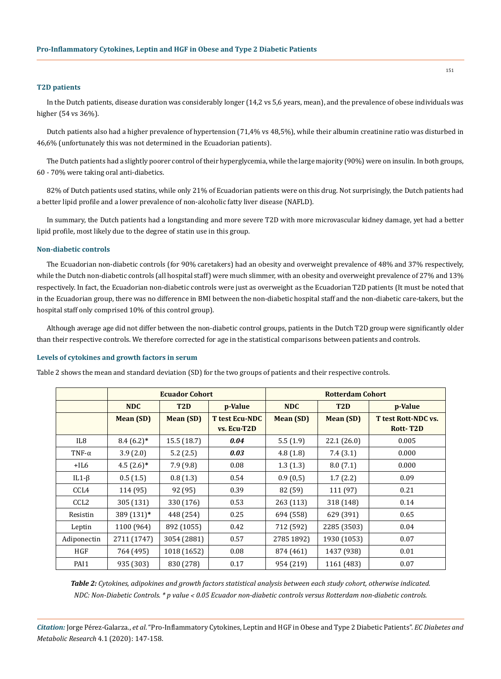#### **T2D patients**

In the Dutch patients, disease duration was considerably longer (14,2 vs 5,6 years, mean), and the prevalence of obese individuals was higher (54 vs 36%).

Dutch patients also had a higher prevalence of hypertension (71,4% vs 48,5%), while their albumin creatinine ratio was disturbed in 46,6% (unfortunately this was not determined in the Ecuadorian patients).

The Dutch patients had a slightly poorer control of their hyperglycemia, while the large majority (90%) were on insulin. In both groups, 60 - 70% were taking oral anti-diabetics.

82% of Dutch patients used statins, while only 21% of Ecuadorian patients were on this drug. Not surprisingly, the Dutch patients had a better lipid profile and a lower prevalence of non-alcoholic fatty liver disease (NAFLD).

In summary, the Dutch patients had a longstanding and more severe T2D with more microvascular kidney damage, yet had a better lipid profile, most likely due to the degree of statin use in this group.

#### **Non-diabetic controls**

The Ecuadorian non-diabetic controls (for 90% caretakers) had an obesity and overweight prevalence of 48% and 37% respectively, while the Dutch non-diabetic controls (all hospital staff) were much slimmer, with an obesity and overweight prevalence of 27% and 13% respectively. In fact, the Ecuadorian non-diabetic controls were just as overweight as the Ecuadorian T2D patients (It must be noted that in the Ecuadorian group, there was no difference in BMI between the non-diabetic hospital staff and the non-diabetic care-takers, but the hospital staff only comprised 10% of this control group).

Although average age did not differ between the non-diabetic control groups, patients in the Dutch T2D group were significantly older than their respective controls. We therefore corrected for age in the statistical comparisons between patients and controls.

#### **Levels of cytokines and growth factors in serum**

Table 2 shows the mean and standard deviation (SD) for the two groups of patients and their respective controls.

|                  |              | <b>Ecuador Cohort</b> |                                      | <b>Rotterdam Cohort</b> |                  |                                               |  |  |
|------------------|--------------|-----------------------|--------------------------------------|-------------------------|------------------|-----------------------------------------------|--|--|
|                  | <b>NDC</b>   | T <sub>2</sub> D      | p-Value                              | <b>NDC</b>              | T <sub>2</sub> D | p-Value                                       |  |  |
|                  | Mean (SD)    | <b>Mean (SD)</b>      | <b>T</b> test Ecu-NDC<br>vs. Ecu-T2D | Mean (SD)               | Mean (SD)        | <b>T test Rott-NDC vs.</b><br><b>Rott-T2D</b> |  |  |
| IL <sub>8</sub>  | $8.4(6.2)$ * | 15.5(18.7)            | 0.04                                 | 5.5(1.9)                | 22.1(26.0)       | 0.005                                         |  |  |
| TNF- $\alpha$    | 3.9(2.0)     | 5.2(2.5)              | 0.03                                 | 4.8(1.8)                | 7.4(3.1)         | 0.000                                         |  |  |
| $+IL6$           | $4.5(2.6)$ * | 7.9(9.8)              | 0.08                                 | 1.3(1.3)                | 8.0(7.1)         | 0.000                                         |  |  |
| IL1- $\beta$     | 0.5(1.5)     | 0.8(1.3)              | 0.54                                 | 0.9(0.5)                | 1.7(2.2)         | 0.09                                          |  |  |
| CCL <sub>4</sub> | 114 (95)     | 92 (95)               | 0.39                                 | 82 (59)                 | 111 (97)         | 0.21                                          |  |  |
| CCL <sub>2</sub> | 305 (131)    | 330 (176)             | 0.53                                 | 263 (113)               | 318 (148)        | 0.14                                          |  |  |
| Resistin         | 389 (131)*   | 448 (254)             | 0.25                                 | 694 (558)               | 629 (391)        | 0.65                                          |  |  |
| Leptin           | 1100 (964)   | 892 (1055)            | 0.42                                 | 712 (592)               | 2285 (3503)      | 0.04                                          |  |  |
| Adiponectin      | 2711 (1747)  | 3054 (2881)           | 0.57                                 | 2785 1892)              | 1930 (1053)      | 0.07                                          |  |  |
| <b>HGF</b>       | 764 (495)    | 1018 (1652)           | 0.08                                 | 874 (461)               | 1437 (938)       | 0.01                                          |  |  |
| PAI1             | 935 (303)    | 830 (278)             | 0.17                                 | 954 (219)               | 1161 (483)       | 0.07                                          |  |  |

*Table 2: Cytokines, adipokines and growth factors statistical analysis between each study cohort, otherwise indicated. NDC: Non-Diabetic Controls. \* p value ˂ 0.05 Ecuador non-diabetic controls versus Rotterdam non-diabetic controls.*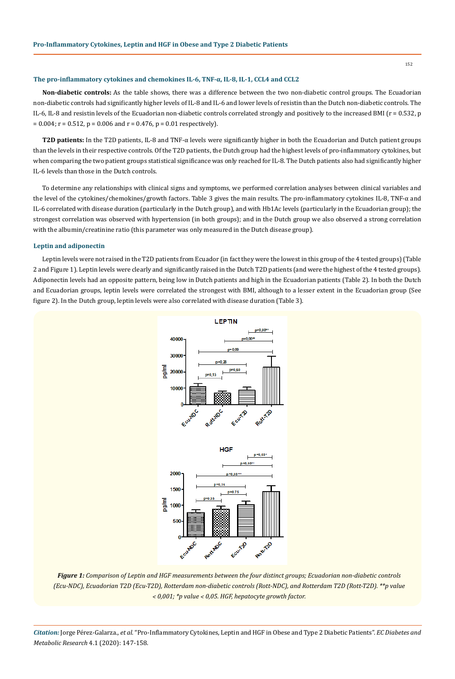#### **The pro-inflammatory cytokines and chemokines IL-6, TNF-α, IL-8, IL-1, CCL4 and CCL2**

**Non-diabetic controls:** As the table shows, there was a difference between the two non-diabetic control groups. The Ecuadorian non-diabetic controls had significantly higher levels of IL-8 and IL-6 and lower levels of resistin than the Dutch non-diabetic controls. The IL-6, IL-8 and resistin levels of the Ecuadorian non-diabetic controls correlated strongly and positively to the increased BMI (r = 0.532, p  $= 0.004$ ; r = 0.512, p = 0.006 and r = 0.476, p = 0.01 respectively).

**T2D patients:** In the T2D patients, IL-8 and TNF-α levels were significantly higher in both the Ecuadorian and Dutch patient groups than the levels in their respective controls. Of the T2D patients, the Dutch group had the highest levels of pro-inflammatory cytokines, but when comparing the two patient groups statistical significance was only reached for IL-8. The Dutch patients also had significantly higher IL-6 levels than those in the Dutch controls.

To determine any relationships with clinical signs and symptoms, we performed correlation analyses between clinical variables and the level of the cytokines/chemokines/growth factors. Table 3 gives the main results. The pro-inflammatory cytokines IL-8, TNF-α and IL-6 correlated with disease duration (particularly in the Dutch group), and with Hb1Ac levels (particularly in the Ecuadorian group); the strongest correlation was observed with hypertension (in both groups); and in the Dutch group we also observed a strong correlation with the albumin/creatinine ratio (this parameter was only measured in the Dutch disease group).

#### **Leptin and adiponectin**

Leptin levels were not raised in the T2D patients from Ecuador (in fact they were the lowest in this group of the 4 tested groups) (Table 2 and Figure 1). Leptin levels were clearly and significantly raised in the Dutch T2D patients (and were the highest of the 4 tested groups). Adiponectin levels had an opposite pattern, being low in Dutch patients and high in the Ecuadorian patients (Table 2). In both the Dutch and Ecuadorian groups, leptin levels were correlated the strongest with BMI, although to a lesser extent in the Ecuadorian group (See figure 2). In the Dutch group, leptin levels were also correlated with disease duration (Table 3).



*Figure 1: Comparison of Leptin and HGF measurements between the four distinct groups; Ecuadorian non-diabetic controls (Ecu-NDC), Ecuadorian T2D (Ecu-T2D), Rotterdam non-diabetic controls (Rott-NDC), and Rotterdam T2D (Rott-T2D). \*\*p value ˂ 0,001; \*p value ˂ 0,05. HGF, hepatocyte growth factor.*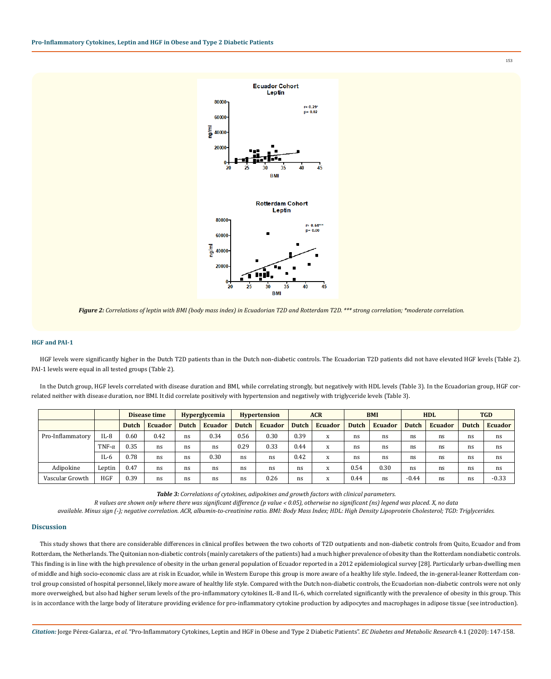



## **HGF and PAI-1**

HGF levels were significantly higher in the Dutch T2D patients than in the Dutch non-diabetic controls. The Ecuadorian T2D patients did not have elevated HGF levels (Table 2). PAI-1 levels were equal in all tested groups (Table 2).

In the Dutch group, HGF levels correlated with disease duration and BMI, while correlating strongly, but negatively with HDL levels (Table 3). In the Ecuadorian group, HGF correlated neither with disease duration, nor BMI. It did correlate positively with hypertension and negatively with triglyceride levels (Table 3).

|                  |               | Disease time |                | <b>Hyperglycemia</b> |                | <b>Hypertension</b> |                | <b>ACR</b> |                | <b>BMI</b>   |                | <b>HDL</b> |                | <b>TGD</b>   |                |
|------------------|---------------|--------------|----------------|----------------------|----------------|---------------------|----------------|------------|----------------|--------------|----------------|------------|----------------|--------------|----------------|
|                  |               | <b>Dutch</b> | <b>Ecuador</b> | <b>Dutch</b>         | <b>Ecuador</b> | <b>Dutch</b>        | <b>Ecuador</b> | Dutch      | <b>Ecuador</b> | <b>Dutch</b> | <b>Ecuador</b> | Dutch      | <b>Ecuador</b> | <b>Dutch</b> | <b>Ecuador</b> |
| Pro-Inflammatory | $IL-8$        | 0.60         | 0.42           | ns                   | 0.34           | 0.56                | 0.30           | 0.39       | X              | ns           | ns             | ns         | ns             | ns           | ns             |
|                  | TNF- $\alpha$ | 0.35         | ns             | ns                   | ns             | 0.29                | 0.33           | 0.44       | X              | ns           | ns             | ns         | ns             | ns           | ns             |
|                  | $IL-6$        | 0.78         | ns             | ns                   | 0.30           | ns                  | ns             | 0.42       | X              | ns           | ns             | ns         | ns             | ns           | ns             |
| Adipokine        | Leptin        | 0.47         | ns             | ns                   | ns             | ns                  | ns             | ns         | X              | 0.54         | 0.30           | ns         | ns             | ns           | ns             |
| Vascular Growth  | <b>HGF</b>    | 0.39         | ns             | ns                   | ns             | ns                  | 0.26           | ns         | X              | 0.44         | ns             | $-0.44$    | ns             | ns           | $-0.33$        |

*Table 3: Correlations of cytokines, adipokines and growth factors with clinical parameters.* 

*R values are shown only where there was significant difference (p value ˂ 0.05), otherwise no significant (ns) legend was placed. X, no data* 

*available. Minus sign (-); negative correlation. ACR, albumin-to-creatinine ratio. BMI: Body Mass Index; HDL: High Density Lipoprotein Cholesterol; TGD: Triglycerides.*

#### **Discussion**

This study shows that there are considerable differences in clinical profiles between the two cohorts of T2D outpatients and non-diabetic controls from Quito, Ecuador and from Rotterdam, the Netherlands. The Quitonian non-diabetic controls (mainly caretakers of the patients) had a much higher prevalence of obesity than the Rotterdam nondiabetic controls. This finding is in line with the high prevalence of obesity in the urban general population of Ecuador reported in a 2012 epidemiological survey [28]. Particularly urban-dwelling men of middle and high socio-economic class are at risk in Ecuador, while in Western Europe this group is more aware of a healthy life style. Indeed, the in-general-leaner Rotterdam control group consisted of hospital personnel, likely more aware of healthy life style. Compared with the Dutch non-diabetic controls, the Ecuadorian non-diabetic controls were not only more overweighed, but also had higher serum levels of the pro-inflammatory cytokines IL-8 and IL-6, which correlated significantly with the prevalence of obesity in this group. This is in accordance with the large body of literature providing evidence for pro-inflammatory cytokine production by adipocytes and macrophages in adipose tissue (see introduction).

*Citation:* Jorge Pérez-Galarza., *et al*. "Pro-Inflammatory Cytokines, Leptin and HGF in Obese and Type 2 Diabetic Patients". *EC Diabetes and Metabolic Research* 4.1 (2020): 147-158.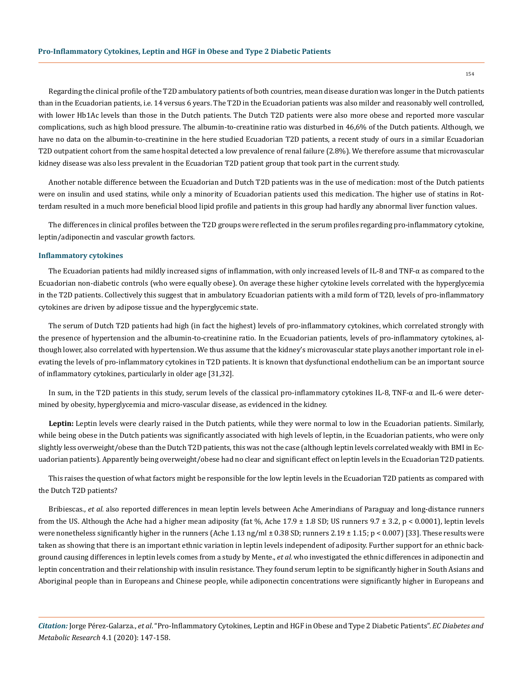Regarding the clinical profile of the T2D ambulatory patients of both countries, mean disease duration was longer in the Dutch patients than in the Ecuadorian patients, i.e. 14 versus 6 years. The T2D in the Ecuadorian patients was also milder and reasonably well controlled, with lower Hb1Ac levels than those in the Dutch patients. The Dutch T2D patients were also more obese and reported more vascular complications, such as high blood pressure. The albumin-to-creatinine ratio was disturbed in 46,6% of the Dutch patients. Although, we have no data on the albumin-to-creatinine in the here studied Ecuadorian T2D patients, a recent study of ours in a similar Ecuadorian T2D outpatient cohort from the same hospital detected a low prevalence of renal failure (2.8%). We therefore assume that microvascular kidney disease was also less prevalent in the Ecuadorian T2D patient group that took part in the current study.

Another notable difference between the Ecuadorian and Dutch T2D patients was in the use of medication: most of the Dutch patients were on insulin and used statins, while only a minority of Ecuadorian patients used this medication. The higher use of statins in Rotterdam resulted in a much more beneficial blood lipid profile and patients in this group had hardly any abnormal liver function values.

The differences in clinical profiles between the T2D groups were reflected in the serum profiles regarding pro-inflammatory cytokine, leptin/adiponectin and vascular growth factors.

#### **Inflammatory cytokines**

The Ecuadorian patients had mildly increased signs of inflammation, with only increased levels of IL-8 and TNF-α as compared to the Ecuadorian non-diabetic controls (who were equally obese). On average these higher cytokine levels correlated with the hyperglycemia in the T2D patients. Collectively this suggest that in ambulatory Ecuadorian patients with a mild form of T2D, levels of pro-inflammatory cytokines are driven by adipose tissue and the hyperglycemic state.

The serum of Dutch T2D patients had high (in fact the highest) levels of pro-inflammatory cytokines, which correlated strongly with the presence of hypertension and the albumin-to-creatinine ratio. In the Ecuadorian patients, levels of pro-inflammatory cytokines, although lower, also correlated with hypertension. We thus assume that the kidney's microvascular state plays another important role in elevating the levels of pro-inflammatory cytokines in T2D patients. It is known that dysfunctional endothelium can be an important source of inflammatory cytokines, particularly in older age [31,32].

In sum, in the T2D patients in this study, serum levels of the classical pro-inflammatory cytokines IL-8, TNF-α and IL-6 were determined by obesity, hyperglycemia and micro-vascular disease, as evidenced in the kidney.

**Leptin:** Leptin levels were clearly raised in the Dutch patients, while they were normal to low in the Ecuadorian patients. Similarly, while being obese in the Dutch patients was significantly associated with high levels of leptin, in the Ecuadorian patients, who were only slightly less overweight/obese than the Dutch T2D patients, this was not the case (although leptin levels correlated weakly with BMI in Ecuadorian patients). Apparently being overweight/obese had no clear and significant effect on leptin levels in the Ecuadorian T2D patients.

This raises the question of what factors might be responsible for the low leptin levels in the Ecuadorian T2D patients as compared with the Dutch T2D patients?

Bribiescas., *et al.* also reported differences in mean leptin levels between Ache Amerindians of Paraguay and long-distance runners from the US. Although the Ache had a higher mean adiposity (fat %, Ache  $17.9 \pm 1.8$  SD; US runners  $9.7 \pm 3.2$ , p < 0.0001), leptin levels were nonetheless significantly higher in the runners (Ache 1.13 ng/ml  $\pm$  0.38 SD; runners 2.19  $\pm$  1.15; p < 0.007) [33]. These results were taken as showing that there is an important ethnic variation in leptin levels independent of adiposity. Further support for an ethnic background causing differences in leptin levels comes from a study by Mente., *et al.* who investigated the ethnic differences in adiponectin and leptin concentration and their relationship with insulin resistance. They found serum leptin to be significantly higher in South Asians and Aboriginal people than in Europeans and Chinese people, while adiponectin concentrations were significantly higher in Europeans and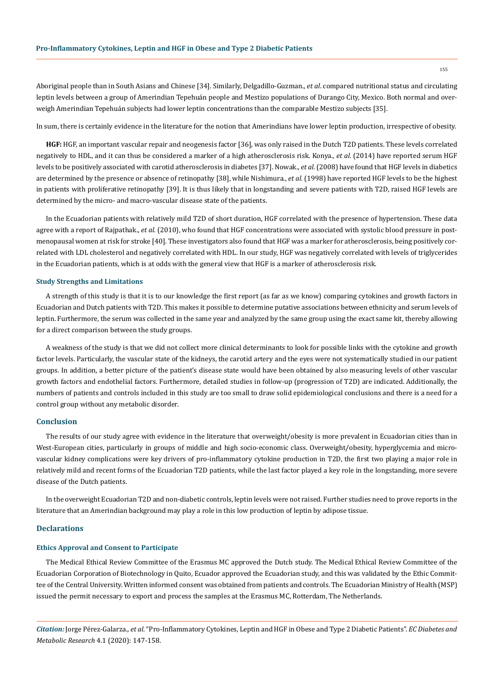Aboriginal people than in South Asians and Chinese [34]. Similarly, Delgadillo-Guzman., *et al*. compared nutritional status and circulating leptin levels between a group of Amerindian Tepehuán people and Mestizo populations of Durango City, Mexico. Both normal and overweigh Amerindian Tepehuán subjects had lower leptin concentrations than the comparable Mestizo subjects [35].

In sum, there is certainly evidence in the literature for the notion that Amerindians have lower leptin production, irrespective of obesity.

**HGF:** HGF, an important vascular repair and neogenesis factor [36], was only raised in the Dutch T2D patients. These levels correlated negatively to HDL, and it can thus be considered a marker of a high atherosclerosis risk. Konya., *et al.* (2014) have reported serum HGF levels to be positively associated with carotid atherosclerosis in diabetes [37]. Nowak., *et al.* (2008) have found that HGF levels in diabetics are determined by the presence or absence of retinopathy [38], while Nishimura., *et al.* (1998) have reported HGF levels to be the highest in patients with proliferative retinopathy [39]. It is thus likely that in longstanding and severe patients with T2D, raised HGF levels are determined by the micro- and macro-vascular disease state of the patients.

In the Ecuadorian patients with relatively mild T2D of short duration, HGF correlated with the presence of hypertension. These data agree with a report of Rajpathak., *et al.* (2010), who found that HGF concentrations were associated with systolic blood pressure in postmenopausal women at risk for stroke [40]. These investigators also found that HGF was a marker for atherosclerosis, being positively correlated with LDL cholesterol and negatively correlated with HDL. In our study, HGF was negatively correlated with levels of triglycerides in the Ecuadorian patients, which is at odds with the general view that HGF is a marker of atherosclerosis risk.

#### **Study Strengths and Limitations**

A strength of this study is that it is to our knowledge the first report (as far as we know) comparing cytokines and growth factors in Ecuadorian and Dutch patients with T2D. This makes it possible to determine putative associations between ethnicity and serum levels of leptin. Furthermore, the serum was collected in the same year and analyzed by the same group using the exact same kit, thereby allowing for a direct comparison between the study groups.

A weakness of the study is that we did not collect more clinical determinants to look for possible links with the cytokine and growth factor levels. Particularly, the vascular state of the kidneys, the carotid artery and the eyes were not systematically studied in our patient groups. In addition, a better picture of the patient's disease state would have been obtained by also measuring levels of other vascular growth factors and endothelial factors. Furthermore, detailed studies in follow-up (progression of T2D) are indicated. Additionally, the numbers of patients and controls included in this study are too small to draw solid epidemiological conclusions and there is a need for a control group without any metabolic disorder.

## **Conclusion**

The results of our study agree with evidence in the literature that overweight/obesity is more prevalent in Ecuadorian cities than in West-European cities, particularly in groups of middle and high socio-economic class. Overweight/obesity, hyperglycemia and microvascular kidney complications were key drivers of pro-inflammatory cytokine production in T2D, the first two playing a major role in relatively mild and recent forms of the Ecuadorian T2D patients, while the last factor played a key role in the longstanding, more severe disease of the Dutch patients.

In the overweight Ecuadorian T2D and non-diabetic controls, leptin levels were not raised. Further studies need to prove reports in the literature that an Amerindian background may play a role in this low production of leptin by adipose tissue.

## **Declarations**

#### **Ethics Approval and Consent to Participate**

The Medical Ethical Review Committee of the Erasmus MC approved the Dutch study. The Medical Ethical Review Committee of the Ecuadorian Corporation of Biotechnology in Quito, Ecuador approved the Ecuadorian study, and this was validated by the Ethic Committee of the Central University. Written informed consent was obtained from patients and controls. The Ecuadorian Ministry of Health (MSP) issued the permit necessary to export and process the samples at the Erasmus MC, Rotterdam, The Netherlands.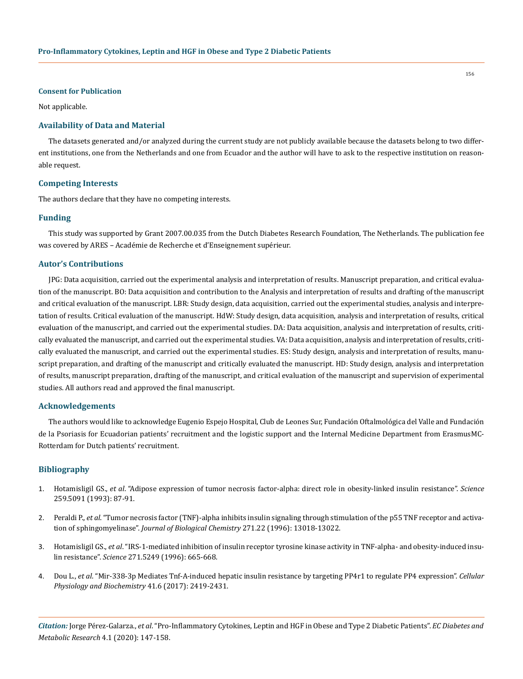#### **Consent for Publication**

Not applicable.

#### **Availability of Data and Material**

The datasets generated and/or analyzed during the current study are not publicly available because the datasets belong to two different institutions, one from the Netherlands and one from Ecuador and the author will have to ask to the respective institution on reasonable request.

#### **Competing Interests**

The authors declare that they have no competing interests.

#### **Funding**

This study was supported by Grant 2007.00.035 from the Dutch Diabetes Research Foundation, The Netherlands. The publication fee was covered by ARES – Académie de Recherche et d'Enseignement supérieur.

#### **Autor's Contributions**

JPG: Data acquisition, carried out the experimental analysis and interpretation of results. Manuscript preparation, and critical evaluation of the manuscript. BO: Data acquisition and contribution to the Analysis and interpretation of results and drafting of the manuscript and critical evaluation of the manuscript. LBR: Study design, data acquisition, carried out the experimental studies, analysis and interpretation of results. Critical evaluation of the manuscript. HdW: Study design, data acquisition, analysis and interpretation of results, critical evaluation of the manuscript, and carried out the experimental studies. DA: Data acquisition, analysis and interpretation of results, critically evaluated the manuscript, and carried out the experimental studies. VA: Data acquisition, analysis and interpretation of results, critically evaluated the manuscript, and carried out the experimental studies. ES: Study design, analysis and interpretation of results, manuscript preparation, and drafting of the manuscript and critically evaluated the manuscript. HD: Study design, analysis and interpretation of results, manuscript preparation, drafting of the manuscript, and critical evaluation of the manuscript and supervision of experimental studies. All authors read and approved the final manuscript.

## **Acknowledgements**

The authors would like to acknowledge Eugenio Espejo Hospital, Club de Leones Sur, Fundación Oftalmológica del Valle and Fundación de la Psoriasis for Ecuadorian patients' recruitment and the logistic support and the Internal Medicine Department from ErasmusMC-Rotterdam for Dutch patients' recruitment.

#### **Bibliography**

- 1. Hotamisligil GS., *et al*[. "Adipose expression of tumor necrosis factor-alpha: direct role in obesity-linked insulin resistance".](https://www.ncbi.nlm.nih.gov/pubmed/7678183) *Science* [259.5091 \(1993\): 87-91.](https://www.ncbi.nlm.nih.gov/pubmed/7678183)
- 2. Peraldi P., *et al*[. "Tumor necrosis factor \(TNF\)-alpha inhibits insulin signaling through stimulation of the p55 TNF receptor and activa](https://www.ncbi.nlm.nih.gov/pubmed/8662983)tion of sphingomyelinase". *[Journal of Biological Chemistry](https://www.ncbi.nlm.nih.gov/pubmed/8662983)* 271.22 (1996): 13018-13022.
- 3. Hotamisligil GS., *et al*[. "IRS-1-mediated inhibition of insulin receptor tyrosine kinase activity in TNF-alpha- and obesity-induced insu](https://www.ncbi.nlm.nih.gov/pubmed/8571133)lin resistance". *Science* [271.5249 \(1996\): 665-668.](https://www.ncbi.nlm.nih.gov/pubmed/8571133)
- 4. Dou L., *et al*[. "Mir-338-3p Mediates Tnf-A-induced hepatic insulin resistance by targeting PP4r1 to regulate PP4 expression".](https://www.ncbi.nlm.nih.gov/pubmed/28467989) *Cellular [Physiology and Biochemistry](https://www.ncbi.nlm.nih.gov/pubmed/28467989)* 41.6 (2017): 2419-2431.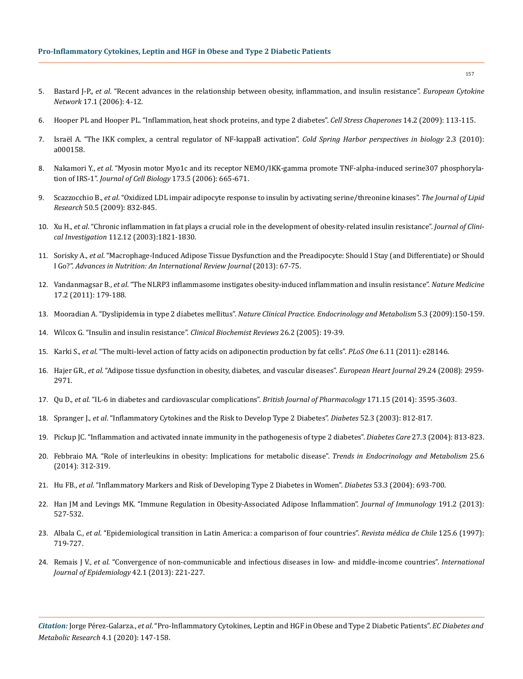- 5. Bastard J-P., *et al*[. "Recent advances in the relationship between obesity, inflammation, and insulin resistance".](https://www.ncbi.nlm.nih.gov/pubmed/16613757) *European Cytokine Network* [17.1 \(2006\): 4-12.](https://www.ncbi.nlm.nih.gov/pubmed/16613757)
- 6. [Hooper PL and Hooper PL. "Inflammation, heat shock proteins, and type 2 diabetes".](https://www.ncbi.nlm.nih.gov/pubmed/18720028) *Cell Stress Chaperones* 14.2 (2009): 113-115.
- 7. [Israël A. "The IKK complex, a central regulator of NF-kappaB activation".](https://www.ncbi.nlm.nih.gov/pubmed/20300203) *Cold Spring Harbor perspectives in biology* 2.3 (2010): [a000158.](https://www.ncbi.nlm.nih.gov/pubmed/20300203)
- 8. Nakamori Y., *et al*[. "Myosin motor Myo1c and its receptor NEMO/IKK-gamma promote TNF-alpha-induced serine307 phosphoryla](https://www.ncbi.nlm.nih.gov/pubmed/16754954)tion of IRS-1". *[Journal of Cell Biology](https://www.ncbi.nlm.nih.gov/pubmed/16754954)* 173.5 (2006): 665-671.
- 9. Scazzocchio B., *et al*[. "Oxidized LDL impair adipocyte response to insulin by activating serine/threonine kinases".](https://www.ncbi.nlm.nih.gov/pubmed/19136667) *The Journal of Lipid Research* [50.5 \(2009\): 832-845.](https://www.ncbi.nlm.nih.gov/pubmed/19136667)
- 10. Xu H., *et al*[. "Chronic inflammation in fat plays a crucial role in the development of obesity-related insulin resistance".](https://www.ncbi.nlm.nih.gov/pubmed/14679177) *Journal of Clinical Investigation* [112.12 \(2003\):1821-1830.](https://www.ncbi.nlm.nih.gov/pubmed/14679177)
- 11. Sorisky A., *et al*[. "Macrophage-Induced Adipose Tissue Dysfunction and the Preadipocyte: Should I Stay \(and Differentiate\) or Should](https://academic.oup.com/advances/article/4/1/67/4591577) I Go?". *[Advances in Nutrition: An International Review Journal](https://academic.oup.com/advances/article/4/1/67/4591577)* (2013): 67-75.
- 12. Vandanmagsar B., *et al*[. "The NLRP3 inflammasome instigates obesity-induced inflammation and insulin resistance".](https://www.ncbi.nlm.nih.gov/pubmed/21217695) *Nature Medicine* [17.2 \(2011\): 179-188.](https://www.ncbi.nlm.nih.gov/pubmed/21217695)
- 13. Mooradian A. "Dyslipidemia in type 2 diabetes mellitus". *[Nature Clinical Practice. Endocrinology and Metabolism](https://www.ncbi.nlm.nih.gov/pubmed/19229235)* 5.3 (2009):150-159.
- 14. [Wilcox G. "Insulin and insulin resistance".](https://www.ncbi.nlm.nih.gov/pmc/articles/PMC1204764/) *Clinical Biochemist Reviews* 26.2 (2005): 19-39.
- 15. Karki S., *et al*[. "The multi-level action of fatty acids on adiponectin production by fat cells".](https://www.ncbi.nlm.nih.gov/pubmed/22140527) *PLoS One* 6.11 (2011): e28146.
- 16. Hajer GR., *et al*[. "Adipose tissue dysfunction in obesity, diabetes, and vascular diseases".](https://www.ncbi.nlm.nih.gov/pubmed/18775919) *European Heart Journal* 29.24 (2008): 2959- [2971.](https://www.ncbi.nlm.nih.gov/pubmed/18775919)
- 17. Qu D., *et al*[. "IL-6 in diabetes and cardiovascular complications".](https://www.ncbi.nlm.nih.gov/pubmed/24697653) *British Journal of Pharmacology* 171.15 (2014): 3595-3603.
- 18. Spranger J., *et al*[. "Inflammatory Cytokines and the Risk to Develop Type 2 Diabetes".](https://www.ncbi.nlm.nih.gov/pubmed/12606524) *Diabetes* 52.3 (2003): 812-817.
- 19. [Pickup JC. "Inflammation and activated innate immunity in the pathogenesis of type 2 diabetes".](https://www.ncbi.nlm.nih.gov/pubmed/14988310) *Diabetes Care* 27.3 (2004): 813-823.
- 20. [Febbraio MA. "Role of interleukins in obesity: Implications for metabolic disease".](https://www.ncbi.nlm.nih.gov/pubmed/24698032) *Trends in Endocrinology and Metabolism* 25.6 [\(2014\): 312-319.](https://www.ncbi.nlm.nih.gov/pubmed/24698032)
- 21. Hu FB., *et al*[. "Inflammatory Markers and Risk of Developing Type 2 Diabetes in Women".](https://www.ncbi.nlm.nih.gov/pubmed/14988254) *Diabetes* 53.3 (2004): 693-700.
- 22. [Han JM and Levings MK. "Immune Regulation in Obesity-Associated Adipose Inflammation".](https://www.ncbi.nlm.nih.gov/pubmed/23825387) *Journal of Immunology* 191.2 (2013): [527-532.](https://www.ncbi.nlm.nih.gov/pubmed/23825387)
- 23. Albala C., *et al*[. "Epidemiological transition in Latin America: a comparison of four countries".](https://www.ncbi.nlm.nih.gov/pubmed/9580335) *Revista médica de Chile* 125.6 (1997): [719-727.](https://www.ncbi.nlm.nih.gov/pubmed/9580335)
- 24. Remais J V., *et al*[. "Convergence of non-communicable and infectious diseases in low- and middle-income countries".](https://www.ncbi.nlm.nih.gov/pubmed/23064501) *International [Journal of Epidemiology](https://www.ncbi.nlm.nih.gov/pubmed/23064501)* 42.1 (2013): 221-227.

*Citation:* Jorge Pérez-Galarza., *et al*. "Pro-Inflammatory Cytokines, Leptin and HGF in Obese and Type 2 Diabetic Patients". *EC Diabetes and Metabolic Research* 4.1 (2020): 147-158.